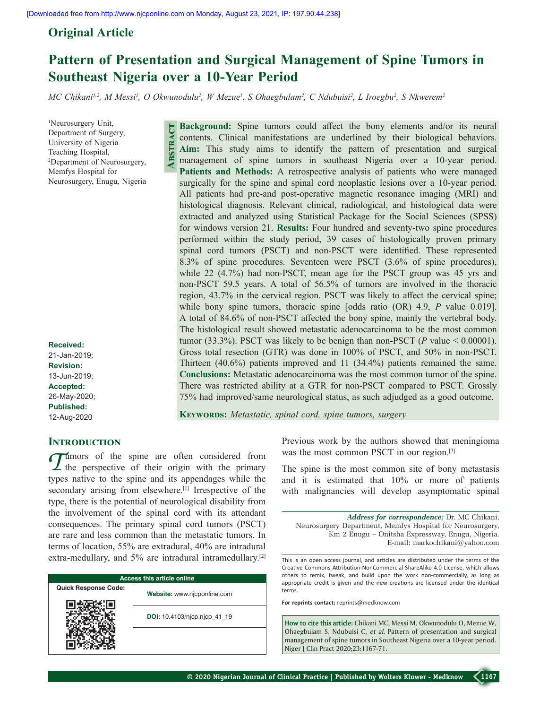**Abstract**

# **Original Article**

# **Pattern of Presentation and Surgical Management of Spine Tumors in Southeast Nigeria over a 10-Year Period**

*MC Chikani1,2, M Messi1 , O Okwunodulu2 , W Mezue1 , S Ohaegbulam2 , C Ndubuisi2 , L Iroegbu2 , S Nkwerem2*

1 Neurosurgery Unit, Department of Surgery, University of Nigeria Teaching Hospital, 2 Department of Neurosurgery, Memfys Hospital for Neurosurgery, Enugu, Nigeria

**Received:**

21-Jan-2019; **Revision:** 13-Jun-2019; **Accepted:** 26-May-2020; **Published:** 12-Aug-2020

## **INTRODUCTION**

Tumors of the spine are often considered from<br>the perspective of their origin with the primary<br>the perspective the primary is and its engaged to each it the types native to the spine and its appendages while the secondary arising from elsewhere.<sup>[1]</sup> Irrespective of the type, there is the potential of neurological disability from the involvement of the spinal cord with its attendant consequences. The primary spinal cord tumors (PSCT) are rare and less common than the metastatic tumors. In terms of location, 55% are extradural, 40% are intradural extra-medullary, and  $5%$  are intradural intramedullary.<sup>[2]</sup>

| <b>Access this article online</b> |                              |  |  |
|-----------------------------------|------------------------------|--|--|
| <b>Quick Response Code:</b>       | Website: www.njcponline.com  |  |  |
|                                   | DOI: 10.4103/njcp.njcp 41 19 |  |  |
|                                   |                              |  |  |

**Background:** Spine tumors could affect the bony elements and/or its neural contents. Clinical manifestations are underlined by their biological behaviors. **Aim:** This study aims to identify the pattern of presentation and surgical management of spine tumors in southeast Nigeria over a 10‑year period. **Patients and Methods:** A retrospective analysis of patients who were managed surgically for the spine and spinal cord neoplastic lesions over a 10-year period. All patients had pre‑and post‑operative magnetic resonance imaging (MRI) and histological diagnosis. Relevant clinical, radiological, and histological data were extracted and analyzed using Statistical Package for the Social Sciences (SPSS) for windows version 21. **Results:** Four hundred and seventy-two spine procedures performed within the study period, 39 cases of histologically proven primary spinal cord tumors (PSCT) and non‑PSCT were identified. These represented 8.3% of spine procedures. Seventeen were PSCT (3.6% of spine procedures), while 22 (4.7%) had non-PSCT, mean age for the PSCT group was 45 yrs and non‑PSCT 59.5 years. A total of 56.5% of tumors are involved in the thoracic region, 43.7% in the cervical region. PSCT was likely to affect the cervical spine; while bony spine tumors, thoracic spine [odds ratio (OR) 4.9, *P* value 0.019]. A total of 84.6% of non‑PSCT affected the bony spine, mainly the vertebral body. The histological result showed metastatic adenocarcinoma to be the most common tumor (33.3%). PSCT was likely to be benign than non-PSCT ( $P$  value < 0.00001). Gross total resection (GTR) was done in 100% of PSCT, and 50% in non‑PSCT. Thirteen (40.6%) patients improved and 11 (34.4%) patients remained the same. **Conclusions:** Metastatic adenocarcinoma was the most common tumor of the spine. There was restricted ability at a GTR for non-PSCT compared to PSCT. Grossly 75% had improved/same neurological status, as such adjudged as a good outcome.

**Keywords:** *Metastatic, spinal cord, spine tumors, surgery*

Previous work by the authors showed that meningioma was the most common PSCT in our region.<sup>[3]</sup>

The spine is the most common site of bony metastasis and it is estimated that 10% or more of patients with malignancies will develop asymptomatic spinal

*Address for correspondence:* Dr. MC Chikani, Neurosurgery Department, Memfys Hospital for Neurosurgery, Km 2 Enugu – Onitsha Expressway, Enugu, Nigeria. E‑mail: markochikani@yahoo.com

This is an open access journal, and articles are distributed under the terms of the Creative Commons Attribution‑NonCommercial‑ShareAlike 4.0 License, which allows others to remix, tweak, and build upon the work non‑commercially, as long as appropriate credit is given and the new creations are licensed under the identical terms.

**For reprints contact:** reprints@medknow.com

**How to cite this article:** Chikani MC, Messi M, Okwunodulu O, Mezue W, Ohaegbulam S, Ndubuisi C, *et al*. Pattern of presentation and surgical management of spine tumors in Southeast Nigeria over a 10-year period. Niger J Clin Pract 2020;23:1167-71.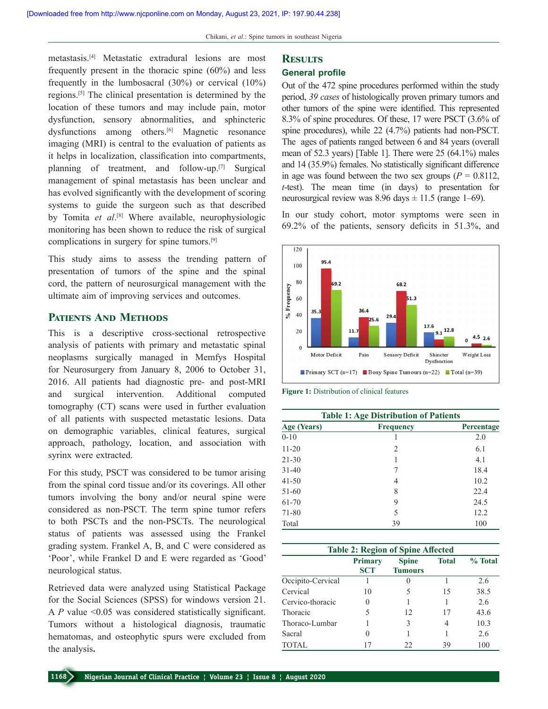metastasis.[4] Metastatic extradural lesions are most frequently present in the thoracic spine (60%) and less frequently in the lumbosacral (30%) or cervical (10%) regions.[5] The clinical presentation is determined by the location of these tumors and may include pain, motor dysfunction, sensory abnormalities, and sphincteric dysfunctions among others.<sup>[6]</sup> Magnetic resonance imaging (MRI) is central to the evaluation of patients as it helps in localization, classification into compartments, planning of treatment, and follow-up.<sup>[7]</sup> Surgical management of spinal metastasis has been unclear and has evolved significantly with the development of scoring systems to guide the surgeon such as that described by Tomita et al.<sup>[8]</sup> Where available, neurophysiologic monitoring has been shown to reduce the risk of surgical complications in surgery for spine tumors.[9]

This study aims to assess the trending pattern of presentation of tumors of the spine and the spinal cord, the pattern of neurosurgical management with the ultimate aim of improving services and outcomes.

### **Patients And Methods**

This is a descriptive cross‑sectional retrospective analysis of patients with primary and metastatic spinal neoplasms surgically managed in Memfys Hospital for Neurosurgery from January 8, 2006 to October 31, 2016. All patients had diagnostic pre‑ and post‑MRI and surgical intervention. Additional computed tomography (CT) scans were used in further evaluation of all patients with suspected metastatic lesions. Data on demographic variables, clinical features, surgical approach, pathology, location, and association with syrinx were extracted.

For this study, PSCT was considered to be tumor arising from the spinal cord tissue and/or its coverings. All other tumors involving the bony and/or neural spine were considered as non‑PSCT. The term spine tumor refers to both PSCTs and the non‑PSCTs. The neurological status of patients was assessed using the Frankel grading system. Frankel A, B, and C were considered as 'Poor', while Frankel D and E were regarded as 'Good' neurological status.

Retrieved data were analyzed using Statistical Package for the Social Sciences (SPSS) for windows version 21. A *P* value <0.05 was considered statistically significant. Tumors without a histological diagnosis, traumatic hematomas, and osteophytic spurs were excluded from the analysis**.**

# **Results**

# **General profile**

Out of the 472 spine procedures performed within the study period, *39 cases* of histologically proven primary tumors and other tumors of the spine were identified. This represented 8.3% of spine procedures. Of these, 17 were PSCT (3.6% of spine procedures), while 22 (4.7%) patients had non-PSCT. The ages of patients ranged between 6 and 84 years (overall mean of 52.3 years) [Table 1]. There were 25 (64.1%) males and 14 (35.9%) females. No statistically significant difference in age was found between the two sex groups  $(P = 0.8112,$ *t*‑test). The mean time (in days) to presentation for neurosurgical review was  $8.96 \text{ days} \pm 11.5 \text{ (range 1–69)}.$ 

In our study cohort, motor symptoms were seen in 69.2% of the patients, sensory deficits in 51.3%, and



**Figure 1:** Distribution of clinical features

| <b>Table 1: Age Distribution of Patients</b> |                  |            |  |
|----------------------------------------------|------------------|------------|--|
| Age (Years)                                  | <b>Frequency</b> | Percentage |  |
| $0 - 10$                                     |                  | 2.0        |  |
| $11 - 20$                                    | 2                | 6.1        |  |
| $21 - 30$                                    |                  | 4.1        |  |
| $31 - 40$                                    |                  | 18.4       |  |
| $41 - 50$                                    | 4                | 10.2       |  |
| 51-60                                        | 8                | 22.4       |  |
| 61-70                                        | 9                | 24.5       |  |
| 71-80                                        | 5                | 12.2       |  |
| Total                                        | 39               | 100        |  |

| <b>Table 2: Region of Spine Affected</b> |                              |                                |              |         |
|------------------------------------------|------------------------------|--------------------------------|--------------|---------|
|                                          | <b>Primary</b><br><b>SCT</b> | <b>Spine</b><br><b>Tumours</b> | <b>Total</b> | % Total |
| Occipito-Cervical                        |                              |                                |              | 2.6     |
| Cervical                                 | 10                           |                                | 15           | 38.5    |
| Cervico-thoracic                         |                              |                                |              | 2.6     |
| Thoracic                                 |                              | 12                             | 17           | 43.6    |
| Thoraco-Lumbar                           |                              | 3                              | 4            | 10.3    |
| Sacral                                   |                              |                                |              | 2.6     |
| TOTAL                                    | 17                           | 22                             | 39           | 100     |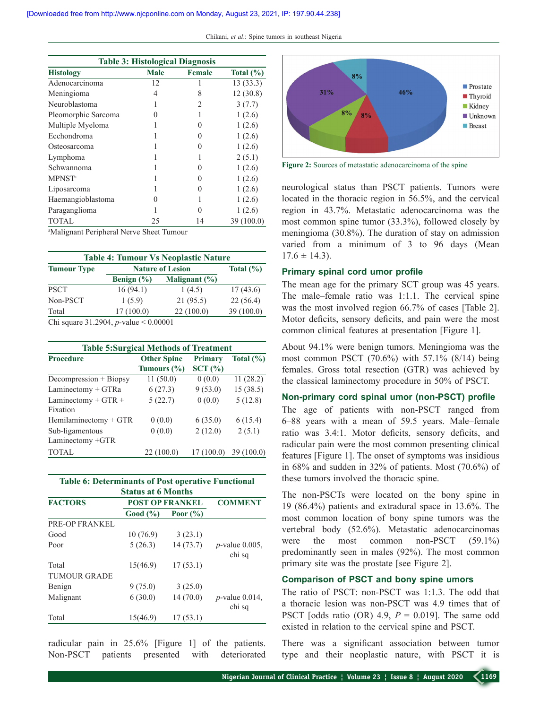| <b>Table 3: Histological Diagnosis</b> |             |                   |               |
|----------------------------------------|-------------|-------------------|---------------|
| <b>Histology</b>                       | <b>Male</b> | Female            | Total $(\% )$ |
| Adenocarcinoma                         | 12          |                   | 13(33.3)      |
| Meningioma                             | 4           | 8                 | 12(30.8)      |
| Neuroblastoma                          |             | $\mathfrak{D}$    | 3(7.7)        |
| Pleomorphic Sarcoma                    | 0           |                   | 1(2.6)        |
| Multiple Myeloma                       |             |                   | 1(2.6)        |
| Ecchondroma                            |             |                   | 1(2.6)        |
| Osteosarcoma                           |             |                   | 1(2.6)        |
| Lymphoma                               |             |                   | 2(5.1)        |
| Schwannoma                             |             |                   | 1(2.6)        |
| <b>MPNST</b> <sup>a</sup>              |             |                   | 1(2.6)        |
| Liposarcoma                            |             |                   | 1(2.6)        |
| Haemangioblastoma                      | 0           |                   | 1(2.6)        |
| Paraganglioma                          |             | $\mathbf{\Omega}$ | 1(2.6)        |
| <b>TOTAL</b>                           | 25          | 14                | 39 (100.0)    |

a Malignant Peripheral Nerve Sheet Tumour

| <b>Table 4: Tumour Vs Neoplastic Nature</b> |                                                  |                         |           |
|---------------------------------------------|--------------------------------------------------|-------------------------|-----------|
| <b>Tumour Type</b>                          |                                                  | <b>Nature of Lesion</b> |           |
|                                             | Benign $(\% )$                                   | Malignant $(\% )$       |           |
| <b>PSCT</b>                                 | 16(94.1)                                         | 1(4.5)                  | 17(43.6)  |
| Non-PSCT                                    | 1(5.9)                                           | 21(95.5)                | 22(56.4)  |
| Total                                       | 17(100.0)                                        | 22(100.0)               | 39(100.0) |
|                                             | Chi square 31.2904 <i>n</i> -value $\lt 0.00001$ |                         |           |

hi square 31.2904, *p*-value

| <b>Table 5:Surgical Methods of Treatment</b> |                                       |                          |               |
|----------------------------------------------|---------------------------------------|--------------------------|---------------|
| <b>Procedure</b>                             | <b>Other Spine</b><br>Tumours $(\% )$ | <b>Primary</b><br>SCT(%) | Total $(\% )$ |
| Decompression $+$ Biopsy                     | 11(50.0)                              | 0(0.0)                   | 11(28.2)      |
| Laminectomy + GTRa                           | 6(27.3)                               | 9(53.0)                  | 15(38.5)      |
| Laminectomy + GTR +                          | 5(22.7)                               | 0(0.0)                   | 5(12.8)       |
| Fixation                                     |                                       |                          |               |
| Hemilaminectomy $+$ GTR                      | 0(0.0)                                | 6(35.0)                  | 6(15.4)       |
| Sub-ligamentous                              | 0(0.0)                                | 2(12.0)                  | 2(5.1)        |
| Laminectomy +GTR                             |                                       |                          |               |
| <b>TOTAL</b>                                 | 22 (100.0)                            | 17(100.0)                | 39 (100.0)    |

|                | <b>Table 6: Determinants of Post operative Functional</b> |                |
|----------------|-----------------------------------------------------------|----------------|
|                | <b>Status at 6 Months</b>                                 |                |
| <b>FACTORS</b> | <b>POST OP FRANKEL</b>                                    | <b>COMMENT</b> |
|                | Good (%)<br>Poor $(\%$                                    |                |

| PRE-OP FRANKEL      |          |          |                             |
|---------------------|----------|----------|-----------------------------|
| Good                | 10(76.9) | 3(23.1)  |                             |
| Poor                | 5(26.3)  | 14(73.7) | $p$ -value 0.005,<br>chi sq |
| Total               | 15(46.9) | 17(53.1) |                             |
| <b>TUMOUR GRADE</b> |          |          |                             |
| Benign              | 9(75.0)  | 3(25.0)  |                             |
| Malignant           | 6(30.0)  | 14(70.0) | $p$ -value 0.014,<br>chi sq |
| Total               | 15(46.9) | 17(53.1) |                             |

radicular pain in 25.6% [Figure 1] of the patients. Non‑PSCT patients presented with deteriorated



**Figure 2:** Sources of metastatic adenocarcinoma of the spine

neurological status than PSCT patients. Tumors were located in the thoracic region in 56.5%, and the cervical region in 43.7%. Metastatic adenocarcinoma was the most common spine tumor (33.3%), followed closely by meningioma (30.8%). The duration of stay on admission varied from a minimum of 3 to 96 days (Mean  $17.6 \pm 14.3$ ).

#### **Primary spinal cord umor profile**

The mean age for the primary SCT group was 45 years. The male–female ratio was 1:1.1. The cervical spine was the most involved region 66.7% of cases [Table 2]. Motor deficits, sensory deficits, and pain were the most common clinical features at presentation [Figure 1].

About 94.1% were benign tumors. Meningioma was the most common PSCT (70.6%) with 57.1% (8/14) being females. Gross total resection (GTR) was achieved by the classical laminectomy procedure in 50% of PSCT.

#### **Non‑primary cord spinal umor (non‑PSCT) profile**

The age of patients with non-PSCT ranged from 6–88 years with a mean of 59.5 years. Male–female ratio was 3.4:1. Motor deficits, sensory deficits, and radicular pain were the most common presenting clinical features [Figure 1]. The onset of symptoms was insidious in 68% and sudden in 32% of patients. Most (70.6%) of these tumors involved the thoracic spine.

The non-PSCTs were located on the bony spine in 19 (86.4%) patients and extradural space in 13.6%. The most common location of bony spine tumors was the vertebral body (52.6%). Metastatic adenocarcinomas were the most common non-PSCT (59.1%) predominantly seen in males (92%). The most common primary site was the prostate [see Figure 2].

### **Comparison of PSCT and bony spine umors**

The ratio of PSCT: non-PSCT was 1:1.3. The odd that a thoracic lesion was non‑PSCT was 4.9 times that of PSCT [odds ratio (OR)  $4.9$ ,  $P = 0.019$ ]. The same odd existed in relation to the cervical spine and PSCT.

There was a significant association between tumor type and their neoplastic nature, with PSCT it is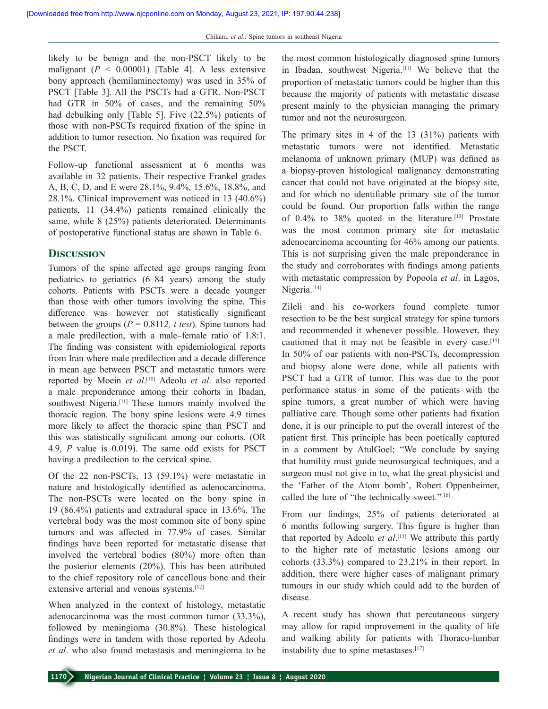likely to be benign and the non‑PSCT likely to be malignant  $(P < 0.00001)$  [Table 4]. A less extensive bony approach (hemilaminectomy) was used in 35% of PSCT [Table 3]. All the PSCTs had a GTR. Non‑PSCT had GTR in 50% of cases, and the remaining 50% had debulking only [Table 5]. Five (22.5%) patients of those with non‑PSCTs required fixation of the spine in addition to tumor resection. No fixation was required for the PSCT.

Follow-up functional assessment at 6 months was available in 32 patients. Their respective Frankel grades A, B, C, D, and E were 28.1%, 9.4%, 15.6%, 18.8%, and 28.1%. Clinical improvement was noticed in 13 (40.6%) patients, 11 (34.4%) patients remained clinically the same, while 8 (25%) patients deteriorated. Determinants of postoperative functional status are shown in Table 6.

## **Discussion**

Tumors of the spine affected age groups ranging from pediatrics to geriatrics (6–84 years) among the study cohorts. Patients with PSCTs were a decade younger than those with other tumors involving the spine. This difference was however not statistically significant between the groups  $(P = 0.8112, t \text{ test})$ . Spine tumors had a male predilection, with a male–female ratio of 1.8:1. The finding was consistent with epidemiological reports from Iran where male predilection and a decade difference in mean age between PSCT and metastatic tumors were reported by Moein *et al*. [10] Adeolu *et al*. also reported a male preponderance among their cohorts in Ibadan, southwest Nigeria.<sup>[11]</sup> These tumors mainly involved the thoracic region. The bony spine lesions were 4.9 times more likely to affect the thoracic spine than PSCT and this was statistically significant among our cohorts. (OR 4.9, *P* value is 0.019). The same odd exists for PSCT having a predilection to the cervical spine.

Of the 22 non‑PSCTs, 13 (59.1%) were metastatic in nature and histologically identified as adenocarcinoma. The non‑PSCTs were located on the bony spine in 19 (86.4%) patients and extradural space in 13.6%. The vertebral body was the most common site of bony spine tumors and was affected in 77.9% of cases. Similar findings have been reported for metastatic disease that involved the vertebral bodies (80%) more often than the posterior elements (20%). This has been attributed to the chief repository role of cancellous bone and their extensive arterial and venous systems.<sup>[12]</sup>

When analyzed in the context of histology, metastatic adenocarcinoma was the most common tumor (33.3%), followed by meningioma (30.8%). These histological findings were in tandem with those reported by Adeolu *et al*. who also found metastasis and meningioma to be the most common histologically diagnosed spine tumors in Ibadan, southwest Nigeria.[11] We believe that the proportion of metastatic tumors could be higher than this because the majority of patients with metastatic disease present mainly to the physician managing the primary tumor and not the neurosurgeon.

The primary sites in 4 of the 13 (31%) patients with metastatic tumors were not identified. Metastatic melanoma of unknown primary (MUP) was defined as a biopsy‑proven histological malignancy demonstrating cancer that could not have originated at the biopsy site, and for which no identifiable primary site of the tumor could be found. Our proportion falls within the range of 0.4% to 38% quoted in the literature.[13] Prostate was the most common primary site for metastatic adenocarcinoma accounting for 46% among our patients. This is not surprising given the male preponderance in the study and corroborates with findings among patients with metastatic compression by Popoola *et al*. in Lagos, Nigeria.<sup>[14]</sup>

Zileli and his co‑workers found complete tumor resection to be the best surgical strategy for spine tumors and recommended it whenever possible. However, they cautioned that it may not be feasible in every case.[15] In 50% of our patients with non-PSCTs, decompression and biopsy alone were done, while all patients with PSCT had a GTR of tumor. This was due to the poor performance status in some of the patients with the spine tumors, a great number of which were having palliative care. Though some other patients had fixation done, it is our principle to put the overall interest of the patient first. This principle has been poetically captured in a comment by AtulGoel; "We conclude by saying that humility must guide neurosurgical techniques, and a surgeon must not give in to, what the great physicist and the 'Father of the Atom bomb', Robert Oppenheimer, called the lure of "the technically sweet."[16]

From our findings, 25% of patients deteriorated at 6 months following surgery. This figure is higher than that reported by Adeolu *et al*. [11] We attribute this partly to the higher rate of metastatic lesions among our cohorts (33.3%) compared to 23.21% in their report. In addition, there were higher cases of malignant primary tumours in our study which could add to the burden of disease.

A recent study has shown that percutaneous surgery may allow for rapid improvement in the quality of life and walking ability for patients with Thoraco-lumbar instability due to spine metastases.<sup>[17]</sup>